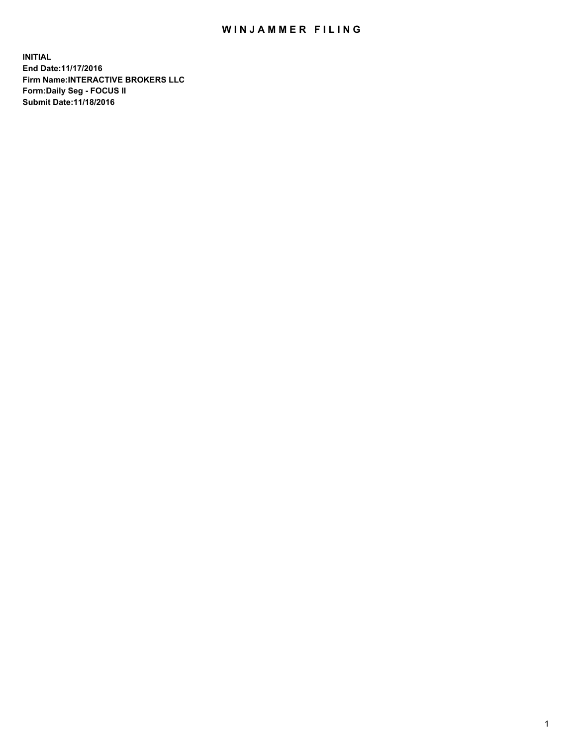## WIN JAMMER FILING

**INITIAL End Date:11/17/2016 Firm Name:INTERACTIVE BROKERS LLC Form:Daily Seg - FOCUS II Submit Date:11/18/2016**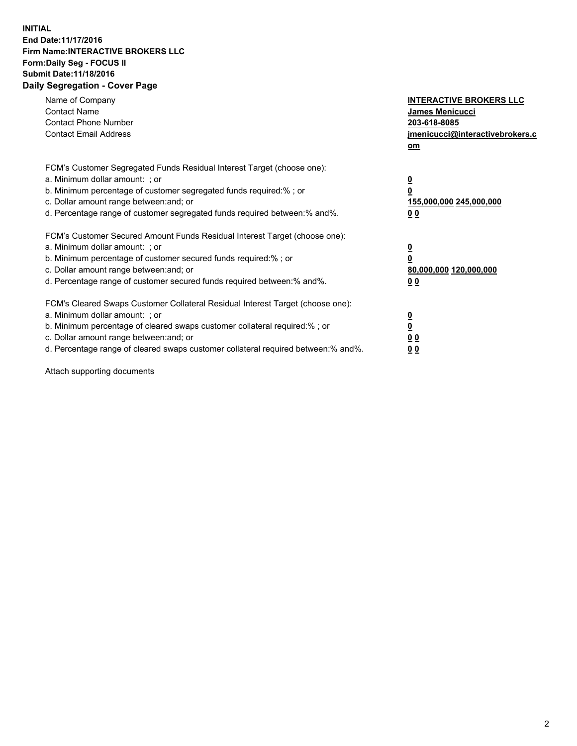## **INITIAL End Date:11/17/2016 Firm Name:INTERACTIVE BROKERS LLC Form:Daily Seg - FOCUS II Submit Date:11/18/2016 Daily Segregation - Cover Page**

| Name of Company<br><b>Contact Name</b><br><b>Contact Phone Number</b><br><b>Contact Email Address</b>                                                                                                                                                                                                                          | <b>INTERACTIVE BROKERS LLC</b><br>James Menicucci<br>203-618-8085<br>jmenicucci@interactivebrokers.c<br>om |
|--------------------------------------------------------------------------------------------------------------------------------------------------------------------------------------------------------------------------------------------------------------------------------------------------------------------------------|------------------------------------------------------------------------------------------------------------|
| FCM's Customer Segregated Funds Residual Interest Target (choose one):<br>a. Minimum dollar amount: ; or<br>b. Minimum percentage of customer segregated funds required:%; or<br>c. Dollar amount range between: and; or<br>d. Percentage range of customer segregated funds required between:% and%.                          | $\overline{\mathbf{0}}$<br>0<br>155,000,000 245,000,000<br>0 <sub>0</sub>                                  |
| FCM's Customer Secured Amount Funds Residual Interest Target (choose one):<br>a. Minimum dollar amount: ; or<br>b. Minimum percentage of customer secured funds required:%; or<br>c. Dollar amount range between: and; or<br>d. Percentage range of customer secured funds required between:% and%.                            | $\overline{\mathbf{0}}$<br>$\overline{\mathbf{0}}$<br>80,000,000 120,000,000<br>00                         |
| FCM's Cleared Swaps Customer Collateral Residual Interest Target (choose one):<br>a. Minimum dollar amount: ; or<br>b. Minimum percentage of cleared swaps customer collateral required:% ; or<br>c. Dollar amount range between: and; or<br>d. Percentage range of cleared swaps customer collateral required between:% and%. | $\overline{\mathbf{0}}$<br>$\overline{\mathbf{0}}$<br>0 <sub>0</sub><br><u>00</u>                          |

Attach supporting documents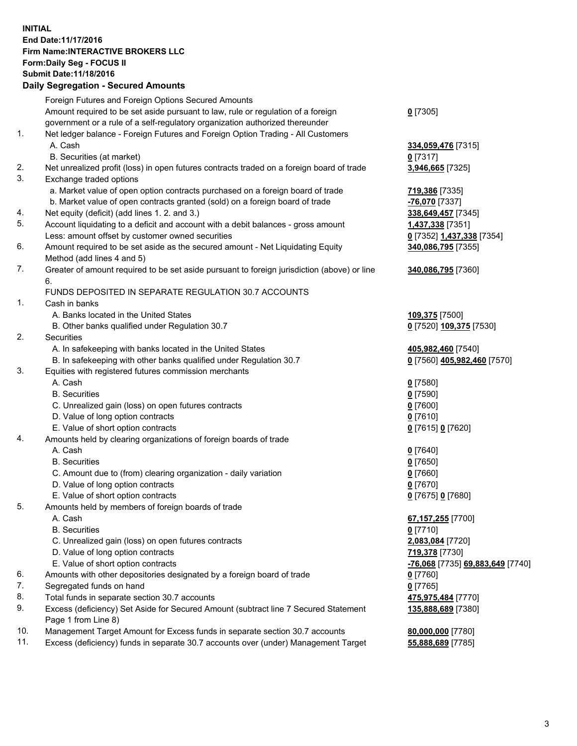## **INITIAL End Date:11/17/2016 Firm Name:INTERACTIVE BROKERS LLC Form:Daily Seg - FOCUS II Submit Date:11/18/2016 Daily Segregation - Secured Amounts**

|     | Foreign Futures and Foreign Options Secured Amounts                                         |                                  |
|-----|---------------------------------------------------------------------------------------------|----------------------------------|
|     | Amount required to be set aside pursuant to law, rule or regulation of a foreign            | $0$ [7305]                       |
|     | government or a rule of a self-regulatory organization authorized thereunder                |                                  |
| 1.  | Net ledger balance - Foreign Futures and Foreign Option Trading - All Customers             |                                  |
|     | A. Cash                                                                                     | 334,059,476 [7315]               |
|     | B. Securities (at market)                                                                   | $0$ [7317]                       |
| 2.  | Net unrealized profit (loss) in open futures contracts traded on a foreign board of trade   | 3,946,665 [7325]                 |
| 3.  | Exchange traded options                                                                     |                                  |
|     |                                                                                             |                                  |
|     | a. Market value of open option contracts purchased on a foreign board of trade              | 719,386 [7335]                   |
|     | b. Market value of open contracts granted (sold) on a foreign board of trade                | -76,070 [7337]                   |
| 4.  | Net equity (deficit) (add lines 1. 2. and 3.)                                               | 338,649,457 [7345]               |
| 5.  | Account liquidating to a deficit and account with a debit balances - gross amount           | 1,437,338 [7351]                 |
|     | Less: amount offset by customer owned securities                                            | 0 [7352] 1,437,338 [7354]        |
| 6.  | Amount required to be set aside as the secured amount - Net Liquidating Equity              | 340,086,795 [7355]               |
|     | Method (add lines 4 and 5)                                                                  |                                  |
| 7.  | Greater of amount required to be set aside pursuant to foreign jurisdiction (above) or line | 340,086,795 [7360]               |
|     | 6.                                                                                          |                                  |
|     | FUNDS DEPOSITED IN SEPARATE REGULATION 30.7 ACCOUNTS                                        |                                  |
| 1.  | Cash in banks                                                                               |                                  |
|     | A. Banks located in the United States                                                       | 109,375 [7500]                   |
|     | B. Other banks qualified under Regulation 30.7                                              | 0 [7520] 109,375 [7530]          |
| 2.  | Securities                                                                                  |                                  |
|     | A. In safekeeping with banks located in the United States                                   | 405,982,460 [7540]               |
|     | B. In safekeeping with other banks qualified under Regulation 30.7                          | 0 [7560] 405,982,460 [7570]      |
| 3.  | Equities with registered futures commission merchants                                       |                                  |
|     | A. Cash                                                                                     | $0$ [7580]                       |
|     | <b>B.</b> Securities                                                                        | $0$ [7590]                       |
|     | C. Unrealized gain (loss) on open futures contracts                                         | $0$ [7600]                       |
|     | D. Value of long option contracts                                                           | $0$ [7610]                       |
|     | E. Value of short option contracts                                                          | 0 [7615] 0 [7620]                |
| 4.  | Amounts held by clearing organizations of foreign boards of trade                           |                                  |
|     | A. Cash                                                                                     | $0$ [7640]                       |
|     | <b>B.</b> Securities                                                                        | $0$ [7650]                       |
|     |                                                                                             |                                  |
|     | C. Amount due to (from) clearing organization - daily variation                             | $0$ [7660]                       |
|     | D. Value of long option contracts                                                           | $0$ [7670]                       |
|     | E. Value of short option contracts                                                          | 0 [7675] 0 [7680]                |
| 5.  | Amounts held by members of foreign boards of trade                                          |                                  |
|     | A. Cash                                                                                     | 67, 157, 255 [7700]              |
|     | <b>B.</b> Securities                                                                        | $0$ [7710]                       |
|     | C. Unrealized gain (loss) on open futures contracts                                         | 2,083,084 [7720]                 |
|     | D. Value of long option contracts                                                           | 719,378 [7730]                   |
|     | E. Value of short option contracts                                                          | -76,068 [7735] 69,883,649 [7740] |
| 6.  | Amounts with other depositories designated by a foreign board of trade                      | 0 [7760]                         |
| 7.  | Segregated funds on hand                                                                    | $0$ [7765]                       |
| 8.  | Total funds in separate section 30.7 accounts                                               | 475,975,484 [7770]               |
| 9.  | Excess (deficiency) Set Aside for Secured Amount (subtract line 7 Secured Statement         | 135,888,689 [7380]               |
|     | Page 1 from Line 8)                                                                         |                                  |
| 10. | Management Target Amount for Excess funds in separate section 30.7 accounts                 | 80,000,000 [7780]                |
| 11. | Excess (deficiency) funds in separate 30.7 accounts over (under) Management Target          | 55,888,689 [7785]                |
|     |                                                                                             |                                  |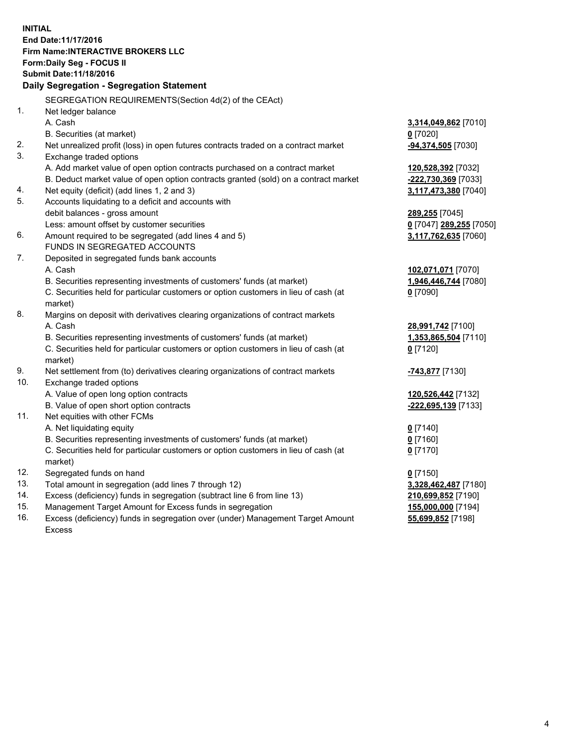**INITIAL End Date:11/17/2016 Firm Name:INTERACTIVE BROKERS LLC Form:Daily Seg - FOCUS II Submit Date:11/18/2016 Daily Segregation - Segregation Statement** SEGREGATION REQUIREMENTS(Section 4d(2) of the CEAct) 1. Net ledger balance A. Cash **3,314,049,862** [7010] B. Securities (at market) **0** [7020] 2. Net unrealized profit (loss) in open futures contracts traded on a contract market **-94,374,505** [7030] 3. Exchange traded options A. Add market value of open option contracts purchased on a contract market **120,528,392** [7032] B. Deduct market value of open option contracts granted (sold) on a contract market **-222,730,369** [7033] 4. Net equity (deficit) (add lines 1, 2 and 3) **3,117,473,380** [7040] 5. Accounts liquidating to a deficit and accounts with debit balances - gross amount **289,255** [7045] Less: amount offset by customer securities **0** [7047] **289,255** [7050] 6. Amount required to be segregated (add lines 4 and 5) **3,117,762,635** [7060] FUNDS IN SEGREGATED ACCOUNTS 7. Deposited in segregated funds bank accounts A. Cash **102,071,071** [7070] B. Securities representing investments of customers' funds (at market) **1,946,446,744** [7080] C. Securities held for particular customers or option customers in lieu of cash (at market) **0** [7090] 8. Margins on deposit with derivatives clearing organizations of contract markets A. Cash **28,991,742** [7100] B. Securities representing investments of customers' funds (at market) **1,353,865,504** [7110] C. Securities held for particular customers or option customers in lieu of cash (at market) **0** [7120] 9. Net settlement from (to) derivatives clearing organizations of contract markets **-743,877** [7130] 10. Exchange traded options A. Value of open long option contracts **120,526,442** [7132] B. Value of open short option contracts **-222,695,139** [7133] 11. Net equities with other FCMs A. Net liquidating equity **0** [7140] B. Securities representing investments of customers' funds (at market) **0** [7160] C. Securities held for particular customers or option customers in lieu of cash (at market) **0** [7170] 12. Segregated funds on hand **0** [7150] 13. Total amount in segregation (add lines 7 through 12) **3,328,462,487** [7180] 14. Excess (deficiency) funds in segregation (subtract line 6 from line 13) **210,699,852** [7190] 15. Management Target Amount for Excess funds in segregation **155,000,000** [7194] **55,699,852** [7198]

16. Excess (deficiency) funds in segregation over (under) Management Target Amount Excess